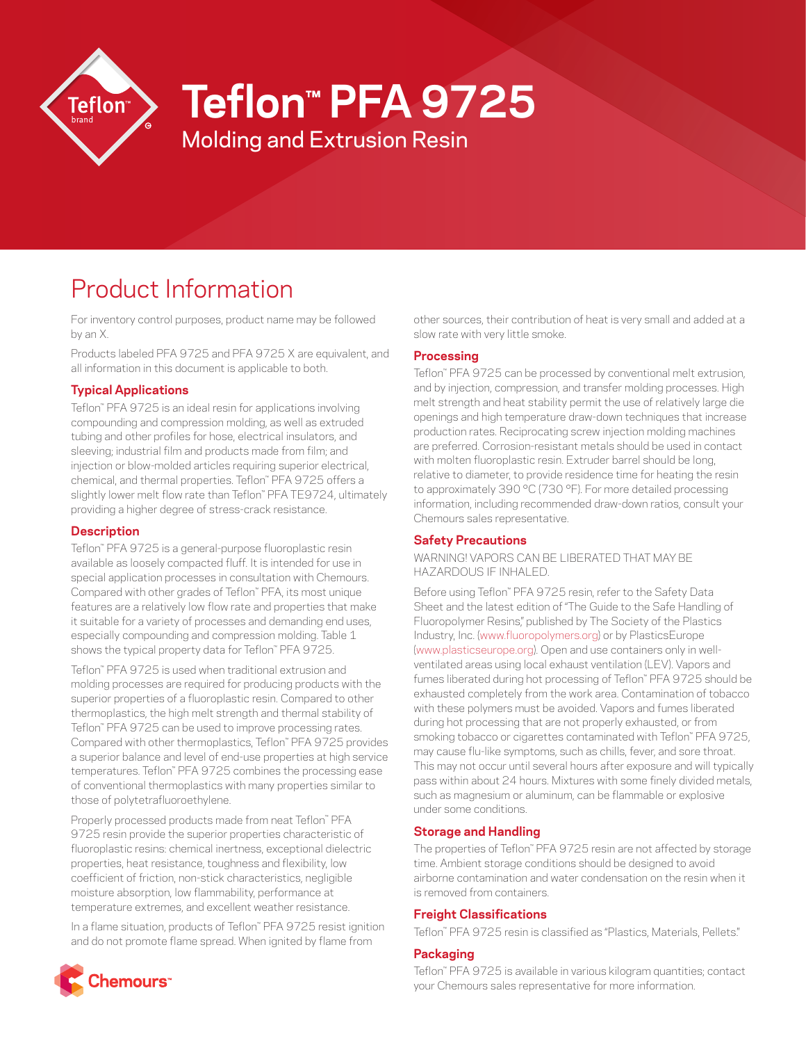

# **Teflon™ PFA 9725**

Molding and Extrusion Resin

# Product Information

For inventory control purposes, product name may be followed by an X.

Products labeled PFA 9725 and PFA 9725 X are equivalent, and all information in this document is applicable to both.

## **Typical Applications**

Teflon™ PFA 9725 is an ideal resin for applications involving compounding and compression molding, as well as extruded tubing and other profiles for hose, electrical insulators, and sleeving; industrial film and products made from film; and injection or blow-molded articles requiring superior electrical, chemical, and thermal properties. Teflon™ PFA 9725 offers a slightly lower melt flow rate than Teflon™ PFA TE9724, ultimately providing a higher degree of stress-crack resistance.

## **Description**

Teflon™ PFA 9725 is a general-purpose fluoroplastic resin available as loosely compacted fluff. It is intended for use in special application processes in consultation with Chemours. Compared with other grades of Teflon™ PFA, its most unique features are a relatively low flow rate and properties that make it suitable for a variety of processes and demanding end uses, especially compounding and compression molding. Table 1 shows the typical property data for Teflon™ PFA 9725.

Teflon™ PFA 9725 is used when traditional extrusion and molding processes are required for producing products with the superior properties of a fluoroplastic resin. Compared to other thermoplastics, the high melt strength and thermal stability of Teflon™ PFA 9725 can be used to improve processing rates. Compared with other thermoplastics, Teflon™ PFA 9725 provides a superior balance and level of end-use properties at high service temperatures. Teflon™ PFA 9725 combines the processing ease of conventional thermoplastics with many properties similar to those of polytetrafluoroethylene.

Properly processed products made from neat Teflon™ PFA 9725 resin provide the superior properties characteristic of fluoroplastic resins: chemical inertness, exceptional dielectric properties, heat resistance, toughness and flexibility, low coefficient of friction, non-stick characteristics, negligible moisture absorption, low flammability, performance at temperature extremes, and excellent weather resistance.

In a flame situation, products of Teflon™ PFA 9725 resist ignition and do not promote flame spread. When ignited by flame from



other sources, their contribution of heat is very small and added at a slow rate with very little smoke.

## **Processing**

Teflon™ PFA 9725 can be processed by conventional melt extrusion, and by injection, compression, and transfer molding processes. High melt strength and heat stability permit the use of relatively large die openings and high temperature draw-down techniques that increase production rates. Reciprocating screw injection molding machines are preferred. Corrosion-resistant metals should be used in contact with molten fluoroplastic resin. Extruder barrel should be long, relative to diameter, to provide residence time for heating the resin to approximately 390 °C (730 °F). For more detailed processing information, including recommended draw-down ratios, consult your Chemours sales representative.

## **Safety Precautions**

WARNING! VAPORS CAN BE LIBERATED THAT MAY BE HAZARDOUS IF INHALED.

Before using Teflon™ PFA 9725 resin, refer to the Safety Data Sheet and the latest edition of "The Guide to the Safe Handling of Fluoropolymer Resins," published by The Society of the Plastics Industry, Inc. ([www.fluoropolymers.org](http://www.fluoropolymers.org)) or by PlasticsEurope [\(www.plasticseurope.org](http://www.plasticseurope.org)). Open and use containers only in wellventilated areas using local exhaust ventilation (LEV). Vapors and fumes liberated during hot processing of Teflon™ PFA 9725 should be exhausted completely from the work area. Contamination of tobacco with these polymers must be avoided. Vapors and fumes liberated during hot processing that are not properly exhausted, or from smoking tobacco or cigarettes contaminated with Teflon™ PFA 9725, may cause flu-like symptoms, such as chills, fever, and sore throat. This may not occur until several hours after exposure and will typically pass within about 24 hours. Mixtures with some finely divided metals, such as magnesium or aluminum, can be flammable or explosive under some conditions.

## **Storage and Handling**

The properties of Teflon™ PFA 9725 resin are not affected by storage time. Ambient storage conditions should be designed to avoid airborne contamination and water condensation on the resin when it is removed from containers.

## **Freight Classifications**

Teflon™ PFA 9725 resin is classified as "Plastics, Materials, Pellets."

## **Packaging**

Teflon™ PFA 9725 is available in various kilogram quantities; contact your Chemours sales representative for more information.